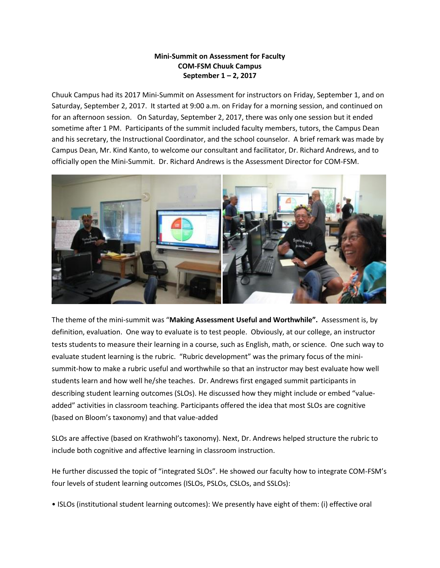## **Mini-Summit on Assessment for Faculty COM-FSM Chuuk Campus September 1 – 2, 2017**

Chuuk Campus had its 2017 Mini-Summit on Assessment for instructors on Friday, September 1, and on Saturday, September 2, 2017. It started at 9:00 a.m. on Friday for a morning session, and continued on for an afternoon session. On Saturday, September 2, 2017, there was only one session but it ended sometime after 1 PM. Participants of the summit included faculty members, tutors, the Campus Dean and his secretary, the Instructional Coordinator, and the school counselor. A brief remark was made by Campus Dean, Mr. Kind Kanto, to welcome our consultant and facilitator, Dr. Richard Andrews, and to officially open the Mini-Summit. Dr. Richard Andrews is the Assessment Director for COM-FSM.



The theme of the mini-summit was "**Making Assessment Useful and Worthwhile".** Assessment is, by definition, evaluation. One way to evaluate is to test people. Obviously, at our college, an instructor tests students to measure their learning in a course, such as English, math, or science. One such way to evaluate student learning is the rubric. "Rubric development" was the primary focus of the minisummit-how to make a rubric useful and worthwhile so that an instructor may best evaluate how well students learn and how well he/she teaches. Dr. Andrews first engaged summit participants in describing student learning outcomes (SLOs). He discussed how they might include or embed "valueadded" activities in classroom teaching. Participants offered the idea that most SLOs are cognitive (based on Bloom's taxonomy) and that value-added

SLOs are affective (based on Krathwohl's taxonomy). Next, Dr. Andrews helped structure the rubric to include both cognitive and affective learning in classroom instruction.

He further discussed the topic of "integrated SLOs". He showed our faculty how to integrate COM-FSM's four levels of student learning outcomes (ISLOs, PSLOs, CSLOs, and SSLOs):

• ISLOs (institutional student learning outcomes): We presently have eight of them: (i) effective oral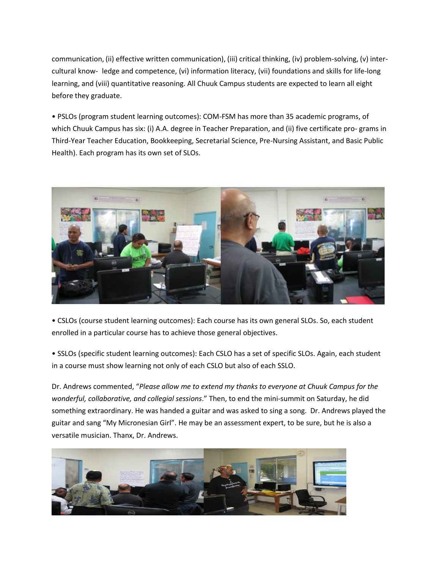communication, (ii) effective written communication), (iii) critical thinking, (iv) problem-solving, (v) intercultural know- ledge and competence, (vi) information literacy, (vii) foundations and skills for life-long learning, and (viii) quantitative reasoning. All Chuuk Campus students are expected to learn all eight before they graduate.

• PSLOs (program student learning outcomes): COM-FSM has more than 35 academic programs, of which Chuuk Campus has six: (i) A.A. degree in Teacher Preparation, and (ii) five certificate pro- grams in Third-Year Teacher Education, Bookkeeping, Secretarial Science, Pre-Nursing Assistant, and Basic Public Health). Each program has its own set of SLOs.



• CSLOs (course student learning outcomes): Each course has its own general SLOs. So, each student enrolled in a particular course has to achieve those general objectives.

• SSLOs (specific student learning outcomes): Each CSLO has a set of specific SLOs. Again, each student in a course must show learning not only of each CSLO but also of each SSLO.

Dr. Andrews commented, "*Please allow me to extend my thanks to everyone at Chuuk Campus for the wonderful, collaborative, and collegial sessions*." Then, to end the mini-summit on Saturday, he did something extraordinary. He was handed a guitar and was asked to sing a song. Dr. Andrews played the guitar and sang "My Micronesian Girl". He may be an assessment expert, to be sure, but he is also a versatile musician. Thanx, Dr. Andrews.